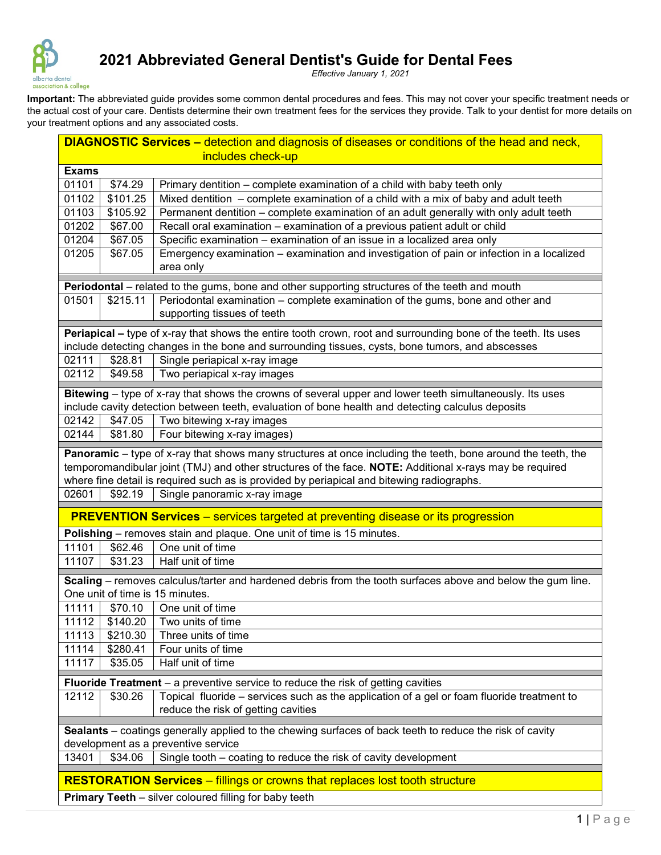

## **2021 Abbreviated General Dentist's Guide for Dental Fees**

*Effective January 1, 2021*

Important: The abbreviated guide provides some common dental procedures and fees. This may not cover your specific treatment needs or the actual cost of your care. Dentists determine their own treatment fees for the services they provide. Talk to your dentist for more details on your treatment options and any associated costs.

| <b>DIAGNOSTIC Services – detection and diagnosis of diseases or conditions of the head and neck,</b>                                                                                                               |                                                                                            |                                                                                                                                                                                                                         |  |  |  |  |  |
|--------------------------------------------------------------------------------------------------------------------------------------------------------------------------------------------------------------------|--------------------------------------------------------------------------------------------|-------------------------------------------------------------------------------------------------------------------------------------------------------------------------------------------------------------------------|--|--|--|--|--|
| includes check-up                                                                                                                                                                                                  |                                                                                            |                                                                                                                                                                                                                         |  |  |  |  |  |
| <b>Exams</b>                                                                                                                                                                                                       |                                                                                            |                                                                                                                                                                                                                         |  |  |  |  |  |
| 01101                                                                                                                                                                                                              | \$74.29                                                                                    | Primary dentition - complete examination of a child with baby teeth only                                                                                                                                                |  |  |  |  |  |
| 01102                                                                                                                                                                                                              | \$101.25                                                                                   | Mixed dentition - complete examination of a child with a mix of baby and adult teeth                                                                                                                                    |  |  |  |  |  |
| 01103                                                                                                                                                                                                              | \$105.92                                                                                   | Permanent dentition - complete examination of an adult generally with only adult teeth                                                                                                                                  |  |  |  |  |  |
| 01202                                                                                                                                                                                                              | \$67.00                                                                                    | Recall oral examination - examination of a previous patient adult or child                                                                                                                                              |  |  |  |  |  |
| 01204                                                                                                                                                                                                              | \$67.05                                                                                    | Specific examination - examination of an issue in a localized area only                                                                                                                                                 |  |  |  |  |  |
| 01205                                                                                                                                                                                                              | \$67.05                                                                                    | Emergency examination - examination and investigation of pain or infection in a localized<br>area only                                                                                                                  |  |  |  |  |  |
| Periodontal - related to the gums, bone and other supporting structures of the teeth and mouth                                                                                                                     |                                                                                            |                                                                                                                                                                                                                         |  |  |  |  |  |
| 01501                                                                                                                                                                                                              | Periodontal examination - complete examination of the gums, bone and other and<br>\$215.11 |                                                                                                                                                                                                                         |  |  |  |  |  |
|                                                                                                                                                                                                                    |                                                                                            | supporting tissues of teeth                                                                                                                                                                                             |  |  |  |  |  |
| Periapical – type of x-ray that shows the entire tooth crown, root and surrounding bone of the teeth. Its uses<br>include detecting changes in the bone and surrounding tissues, cysts, bone tumors, and abscesses |                                                                                            |                                                                                                                                                                                                                         |  |  |  |  |  |
| 02111                                                                                                                                                                                                              | \$28.81                                                                                    | Single periapical x-ray image                                                                                                                                                                                           |  |  |  |  |  |
| 02112                                                                                                                                                                                                              | \$49.58                                                                                    | Two periapical x-ray images                                                                                                                                                                                             |  |  |  |  |  |
|                                                                                                                                                                                                                    |                                                                                            | Bitewing - type of x-ray that shows the crowns of several upper and lower teeth simultaneously. Its uses                                                                                                                |  |  |  |  |  |
|                                                                                                                                                                                                                    |                                                                                            | include cavity detection between teeth, evaluation of bone health and detecting calculus deposits                                                                                                                       |  |  |  |  |  |
| 02142                                                                                                                                                                                                              | \$47.05                                                                                    | Two bitewing x-ray images                                                                                                                                                                                               |  |  |  |  |  |
| 02144                                                                                                                                                                                                              | \$81.80                                                                                    | Four bitewing x-ray images)                                                                                                                                                                                             |  |  |  |  |  |
|                                                                                                                                                                                                                    |                                                                                            | Panoramic – type of x-ray that shows many structures at once including the teeth, bone around the teeth, the<br>temporomandibular joint (TMJ) and other structures of the face. NOTE: Additional x-rays may be required |  |  |  |  |  |
|                                                                                                                                                                                                                    |                                                                                            | where fine detail is required such as is provided by periapical and bitewing radiographs.                                                                                                                               |  |  |  |  |  |
| 02601                                                                                                                                                                                                              | \$92.19                                                                                    | Single panoramic x-ray image                                                                                                                                                                                            |  |  |  |  |  |
|                                                                                                                                                                                                                    |                                                                                            | <b>PREVENTION Services</b> – services targeted at preventing disease or its progression                                                                                                                                 |  |  |  |  |  |
|                                                                                                                                                                                                                    |                                                                                            | Polishing - removes stain and plaque. One unit of time is 15 minutes.                                                                                                                                                   |  |  |  |  |  |
| 11101                                                                                                                                                                                                              | \$62.46                                                                                    | One unit of time                                                                                                                                                                                                        |  |  |  |  |  |
| 11107                                                                                                                                                                                                              | \$31.23                                                                                    | Half unit of time                                                                                                                                                                                                       |  |  |  |  |  |
| Scaling – removes calculus/tarter and hardened debris from the tooth surfaces above and below the gum line.<br>One unit of time is 15 minutes.                                                                     |                                                                                            |                                                                                                                                                                                                                         |  |  |  |  |  |
| 11111                                                                                                                                                                                                              | \$70.10                                                                                    | One unit of time                                                                                                                                                                                                        |  |  |  |  |  |
| 11112                                                                                                                                                                                                              | \$140.20                                                                                   | Two units of time                                                                                                                                                                                                       |  |  |  |  |  |
| 11113                                                                                                                                                                                                              | \$210.30                                                                                   | Three units of time                                                                                                                                                                                                     |  |  |  |  |  |
| 11114                                                                                                                                                                                                              | \$280.41                                                                                   | Four units of time                                                                                                                                                                                                      |  |  |  |  |  |
| 11117                                                                                                                                                                                                              | \$35.05                                                                                    | Half unit of time                                                                                                                                                                                                       |  |  |  |  |  |
|                                                                                                                                                                                                                    |                                                                                            |                                                                                                                                                                                                                         |  |  |  |  |  |
|                                                                                                                                                                                                                    |                                                                                            | Fluoride Treatment - a preventive service to reduce the risk of getting cavities                                                                                                                                        |  |  |  |  |  |
| 12112                                                                                                                                                                                                              | \$30.26                                                                                    | Topical fluoride – services such as the application of a gel or foam fluoride treatment to<br>reduce the risk of getting cavities                                                                                       |  |  |  |  |  |
| Sealants - coatings generally applied to the chewing surfaces of back teeth to reduce the risk of cavity<br>development as a preventive service                                                                    |                                                                                            |                                                                                                                                                                                                                         |  |  |  |  |  |
| 13401                                                                                                                                                                                                              | \$34.06                                                                                    | Single tooth – coating to reduce the risk of cavity development                                                                                                                                                         |  |  |  |  |  |
|                                                                                                                                                                                                                    |                                                                                            |                                                                                                                                                                                                                         |  |  |  |  |  |
| <b>RESTORATION Services - fillings or crowns that replaces lost tooth structure</b>                                                                                                                                |                                                                                            |                                                                                                                                                                                                                         |  |  |  |  |  |
| Primary Teeth - silver coloured filling for baby teeth                                                                                                                                                             |                                                                                            |                                                                                                                                                                                                                         |  |  |  |  |  |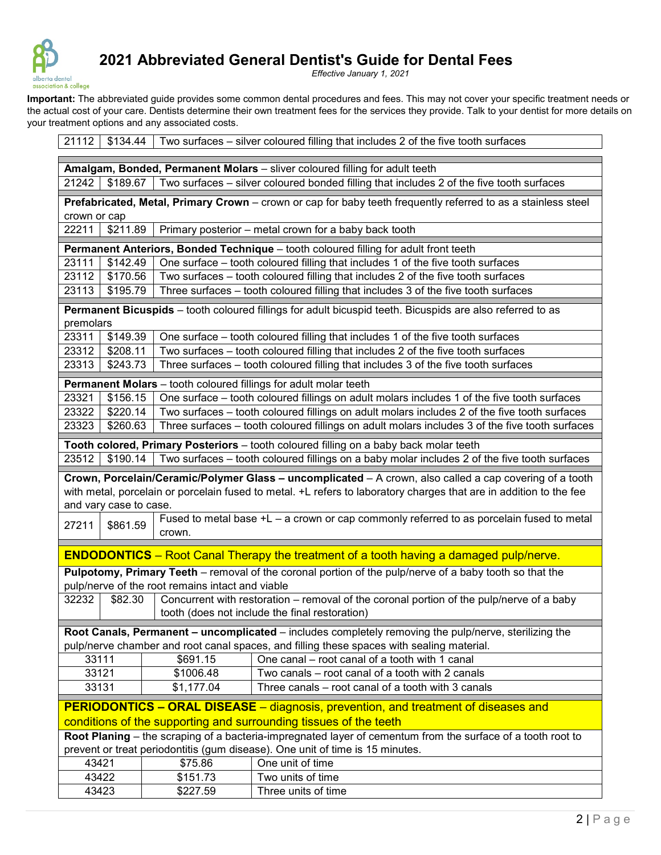

## **2021 Abbreviated General Dentist's Guide for Dental Fees**

*Effective January 1, 2021*

Important: The abbreviated guide provides some common dental procedures and fees. This may not cover your specific treatment needs or the actual cost of your care. Dentists determine their own treatment fees for the services they provide. Talk to your dentist for more details on your treatment options and any associated costs.

21112 | \$134.44 | Two surfaces – silver coloured filling that includes 2 of the five tooth surfaces

| Amalgam, Bonded, Permanent Molars - sliver coloured filling for adult teeth                                                                                                                  |                                                                            |            |                                                                                                         |  |  |  |  |  |
|----------------------------------------------------------------------------------------------------------------------------------------------------------------------------------------------|----------------------------------------------------------------------------|------------|---------------------------------------------------------------------------------------------------------|--|--|--|--|--|
| Two surfaces - silver coloured bonded filling that includes 2 of the five tooth surfaces<br>21242<br>\$189.67                                                                                |                                                                            |            |                                                                                                         |  |  |  |  |  |
| Prefabricated, Metal, Primary Crown - crown or cap for baby teeth frequently referred to as a stainless steel                                                                                |                                                                            |            |                                                                                                         |  |  |  |  |  |
| crown or cap                                                                                                                                                                                 |                                                                            |            |                                                                                                         |  |  |  |  |  |
|                                                                                                                                                                                              | 22211<br>\$211.89<br>Primary posterior - metal crown for a baby back tooth |            |                                                                                                         |  |  |  |  |  |
|                                                                                                                                                                                              |                                                                            |            | Permanent Anteriors, Bonded Technique - tooth coloured filling for adult front teeth                    |  |  |  |  |  |
| 23111                                                                                                                                                                                        | \$142.49                                                                   |            | One surface – tooth coloured filling that includes 1 of the five tooth surfaces                         |  |  |  |  |  |
| 23112                                                                                                                                                                                        | \$170.56                                                                   |            | Two surfaces - tooth coloured filling that includes 2 of the five tooth surfaces                        |  |  |  |  |  |
| 23113                                                                                                                                                                                        | \$195.79                                                                   |            | Three surfaces - tooth coloured filling that includes 3 of the five tooth surfaces                      |  |  |  |  |  |
| Permanent Bicuspids - tooth coloured fillings for adult bicuspid teeth. Bicuspids are also referred to as<br>premolars                                                                       |                                                                            |            |                                                                                                         |  |  |  |  |  |
| 23311                                                                                                                                                                                        | \$149.39                                                                   |            | One surface - tooth coloured filling that includes 1 of the five tooth surfaces                         |  |  |  |  |  |
| 23312                                                                                                                                                                                        | \$208.11                                                                   |            | Two surfaces - tooth coloured filling that includes 2 of the five tooth surfaces                        |  |  |  |  |  |
| 23313                                                                                                                                                                                        | \$243.73                                                                   |            | Three surfaces - tooth coloured filling that includes 3 of the five tooth surfaces                      |  |  |  |  |  |
|                                                                                                                                                                                              |                                                                            |            | Permanent Molars - tooth coloured fillings for adult molar teeth                                        |  |  |  |  |  |
| 23321                                                                                                                                                                                        | \$156.15                                                                   |            | One surface – tooth coloured fillings on adult molars includes 1 of the five tooth surfaces             |  |  |  |  |  |
| 23322                                                                                                                                                                                        | \$220.14                                                                   |            | Two surfaces - tooth coloured fillings on adult molars includes 2 of the five tooth surfaces            |  |  |  |  |  |
| 23323                                                                                                                                                                                        | \$260.63                                                                   |            | Three surfaces - tooth coloured fillings on adult molars includes 3 of the five tooth surfaces          |  |  |  |  |  |
|                                                                                                                                                                                              |                                                                            |            |                                                                                                         |  |  |  |  |  |
|                                                                                                                                                                                              |                                                                            |            | Tooth colored, Primary Posteriors - tooth coloured filling on a baby back molar teeth                   |  |  |  |  |  |
| 23512                                                                                                                                                                                        | \$190.14                                                                   |            | Two surfaces - tooth coloured fillings on a baby molar includes 2 of the five tooth surfaces            |  |  |  |  |  |
|                                                                                                                                                                                              |                                                                            |            | Crown, Porcelain/Ceramic/Polymer Glass - uncomplicated - A crown, also called a cap covering of a tooth |  |  |  |  |  |
| with metal, porcelain or porcelain fused to metal. +L refers to laboratory charges that are in addition to the fee<br>and vary case to case.                                                 |                                                                            |            |                                                                                                         |  |  |  |  |  |
|                                                                                                                                                                                              |                                                                            |            | Fused to metal base +L - a crown or cap commonly referred to as porcelain fused to metal                |  |  |  |  |  |
| 27211                                                                                                                                                                                        | \$861.59                                                                   | crown.     |                                                                                                         |  |  |  |  |  |
|                                                                                                                                                                                              |                                                                            |            | <b>ENDODONTICS</b> – Root Canal Therapy the treatment of a tooth having a damaged pulp/nerve.           |  |  |  |  |  |
| Pulpotomy, Primary Teeth - removal of the coronal portion of the pulp/nerve of a baby tooth so that the<br>pulp/nerve of the root remains intact and viable                                  |                                                                            |            |                                                                                                         |  |  |  |  |  |
| 32232                                                                                                                                                                                        | \$82.30                                                                    |            | Concurrent with restoration – removal of the coronal portion of the pulp/nerve of a baby                |  |  |  |  |  |
|                                                                                                                                                                                              |                                                                            |            | tooth (does not include the final restoration)                                                          |  |  |  |  |  |
|                                                                                                                                                                                              |                                                                            |            | Root Canals, Permanent - uncomplicated - includes completely removing the pulp/nerve, sterilizing the   |  |  |  |  |  |
|                                                                                                                                                                                              |                                                                            |            | pulp/nerve chamber and root canal spaces, and filling these spaces with sealing material.               |  |  |  |  |  |
| 33111                                                                                                                                                                                        |                                                                            | \$691.15   | One canal - root canal of a tooth with 1 canal                                                          |  |  |  |  |  |
| 33121                                                                                                                                                                                        |                                                                            | \$1006.48  | Two canals - root canal of a tooth with 2 canals                                                        |  |  |  |  |  |
| 33131                                                                                                                                                                                        |                                                                            | \$1,177.04 | Three canals – root canal of a tooth with 3 canals                                                      |  |  |  |  |  |
|                                                                                                                                                                                              |                                                                            |            |                                                                                                         |  |  |  |  |  |
| <b>PERIODONTICS – ORAL DISEASE</b> – diagnosis, prevention, and treatment of diseases and                                                                                                    |                                                                            |            |                                                                                                         |  |  |  |  |  |
| conditions of the supporting and surrounding tissues of the teeth                                                                                                                            |                                                                            |            |                                                                                                         |  |  |  |  |  |
| Root Planing - the scraping of a bacteria-impregnated layer of cementum from the surface of a tooth root to<br>prevent or treat periodontitis (gum disease). One unit of time is 15 minutes. |                                                                            |            |                                                                                                         |  |  |  |  |  |
| 43421                                                                                                                                                                                        |                                                                            | \$75.86    | One unit of time                                                                                        |  |  |  |  |  |
| 43422                                                                                                                                                                                        |                                                                            | \$151.73   | Two units of time                                                                                       |  |  |  |  |  |
|                                                                                                                                                                                              |                                                                            | \$227.59   | Three units of time                                                                                     |  |  |  |  |  |
| 43423                                                                                                                                                                                        |                                                                            |            |                                                                                                         |  |  |  |  |  |